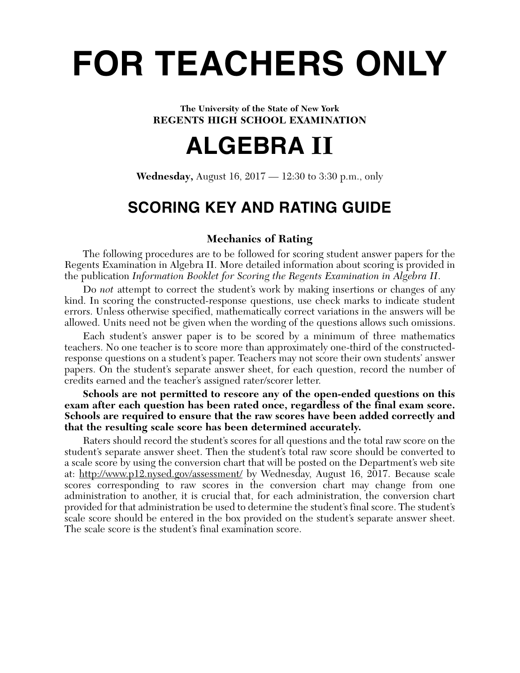# **FOR TEACHERS ONLY**

#### **The University of the State of New York REGENTS HIGH SCHOOL EXAMINATION**

# **ALGEBRA II**

**Wednesday,** August 16, 2017 — 12:30 to 3:30 p.m., only

# **SCORING KEY AND RATING GUIDE**

# **Mechanics of Rating**

The following procedures are to be followed for scoring student answer papers for the Regents Examination in Algebra II. More detailed information about scoring is provided in the publication *Information Booklet for Scoring the Regents Examination in Algebra II*.

Do *not* attempt to correct the student's work by making insertions or changes of any kind. In scoring the constructed-response questions, use check marks to indicate student errors. Unless otherwise specified, mathematically correct variations in the answers will be allowed. Units need not be given when the wording of the questions allows such omissions.

Each student's answer paper is to be scored by a minimum of three mathematics teachers. No one teacher is to score more than approximately one-third of the constructedresponse questions on a student's paper. Teachers may not score their own students' answer papers. On the student's separate answer sheet, for each question, record the number of credits earned and the teacher's assigned rater/scorer letter.

**Schools are not permitted to rescore any of the open-ended questions on this exam after each question has been rated once, regardless of the final exam score. Schools are required to ensure that the raw scores have been added correctly and that the resulting scale score has been determined accurately.**

Raters should record the student's scores for all questions and the total raw score on the student's separate answer sheet. Then the student's total raw score should be converted to a scale score by using the conversion chart that will be posted on the Department's web site at: http://www.p12.nysed.gov/assessment/ by Wednesday, August 16, 2017. Because scale scores corresponding to raw scores in the conversion chart may change from one administration to another, it is crucial that, for each administration, the conversion chart provided for that administration be used to determine the student's final score. The student's scale score should be entered in the box provided on the student's separate answer sheet. The scale score is the student's final examination score.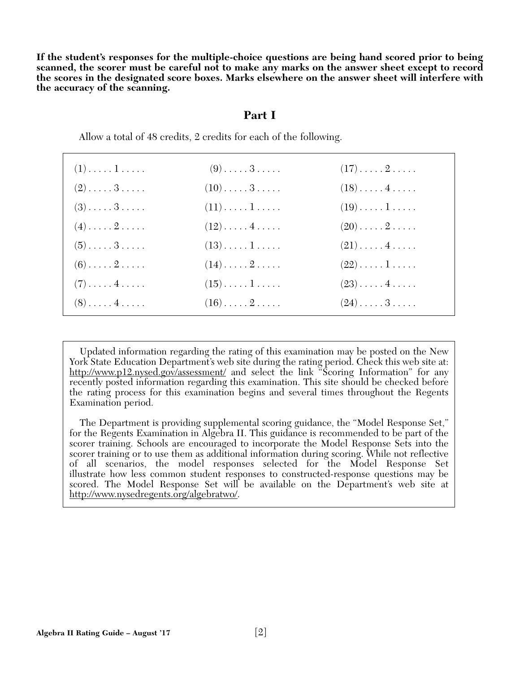**If the student's responses for the multiple-choice questions are being hand scored prior to being scanned, the scorer must be careful not to make any marks on the answer sheet except to record the scores in the designated score boxes. Marks elsewhere on the answer sheet will interfere with the accuracy of the scanning.**

#### **Part I**

| $(1)$ 1   | $(9)$ 3                  | $(17)\ldots 2 \ldots$         |  |
|-----------|--------------------------|-------------------------------|--|
| $(2)$ 3   | $(10) \ldots 3 \ldots$   | $(18)\ldots$ . 4              |  |
| $(3)$ $3$ | $(11)\ldots\ldots\ldots$ | $(19)\ldots 1 \ldots$         |  |
| $(4)$ $2$ | $(12)\ldots$ . 4         | $(20) \ldots \ldots 2 \ldots$ |  |
| $(5)$ $3$ | $(13)\ldots\ldots\ldots$ | $(21)\ldots$ . 4              |  |
| $(6)$ $2$ | $(14)\ldots 2 \ldots$    | $(22)\ldots\ldots\ldots$      |  |
| $(7)$ $4$ | $(15)$ $1$               | $(23) \ldots$ . 4             |  |
| $(8)$ $4$ | $(16) \ldots 2 \ldots$   | $(24)$ $3$                    |  |

Allow a total of 48 credits, 2 credits for each of the following.

Updated information regarding the rating of this examination may be posted on the New York State Education Department's web site during the rating period. Check this web site at: http://www.p12.nysed.gov/assessment/ and select the link <sup>8</sup>Scoring Information" for any recently posted information regarding this examination. This site should be checked before the rating process for this examination begins and several times throughout the Regents Examination period.

The Department is providing supplemental scoring guidance, the "Model Response Set," for the Regents Examination in Algebra II. This guidance is recommended to be part of the scorer training. Schools are encouraged to incorporate the Model Response Sets into the scorer training or to use them as additional information during scoring. While not reflective of all scenarios, the model responses selected for the Model Response Set illustrate how less common student responses to constructed-response questions may be scored. The Model Response Set will be available on the Department's web site at http://www.nysedregents.org/algebratwo/.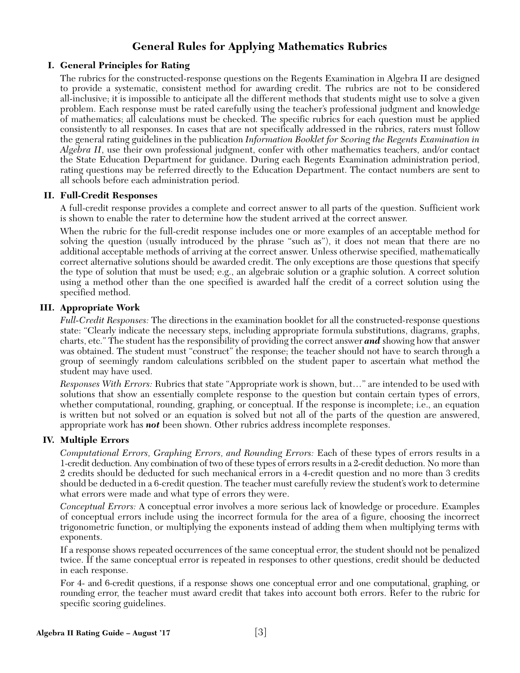# **General Rules for Applying Mathematics Rubrics**

#### **I. General Principles for Rating**

The rubrics for the constructed-response questions on the Regents Examination in Algebra II are designed to provide a systematic, consistent method for awarding credit. The rubrics are not to be considered all-inclusive; it is impossible to anticipate all the different methods that students might use to solve a given problem. Each response must be rated carefully using the teacher's professional judgment and knowledge of mathematics; all calculations must be checked. The specific rubrics for each question must be applied consistently to all responses. In cases that are not specifically addressed in the rubrics, raters must follow the general rating guidelines in the publication *Information Booklet for Scoring the Regents Examination in Algebra II*, use their own professional judgment, confer with other mathematics teachers, and/or contact the State Education Department for guidance. During each Regents Examination administration period, rating questions may be referred directly to the Education Department. The contact numbers are sent to all schools before each administration period.

#### **II. Full-Credit Responses**

A full-credit response provides a complete and correct answer to all parts of the question. Sufficient work is shown to enable the rater to determine how the student arrived at the correct answer.

When the rubric for the full-credit response includes one or more examples of an acceptable method for solving the question (usually introduced by the phrase "such as"), it does not mean that there are no additional acceptable methods of arriving at the correct answer. Unless otherwise specified, mathematically correct alternative solutions should be awarded credit. The only exceptions are those questions that specify the type of solution that must be used; e.g., an algebraic solution or a graphic solution. A correct solution using a method other than the one specified is awarded half the credit of a correct solution using the specified method.

#### **III. Appropriate Work**

*Full-Credit Responses:* The directions in the examination booklet for all the constructed-response questions state: "Clearly indicate the necessary steps, including appropriate formula substitutions, diagrams, graphs, charts, etc." The student has the responsibility of providing the correct answer *and* showing how that answer was obtained. The student must "construct" the response; the teacher should not have to search through a group of seemingly random calculations scribbled on the student paper to ascertain what method the student may have used.

*Responses With Errors:* Rubrics that state "Appropriate work is shown, but…" are intended to be used with solutions that show an essentially complete response to the question but contain certain types of errors, whether computational, rounding, graphing, or conceptual. If the response is incomplete; i.e., an equation is written but not solved or an equation is solved but not all of the parts of the question are answered, appropriate work has *not* been shown. Other rubrics address incomplete responses.

#### **IV. Multiple Errors**

*Computational Errors, Graphing Errors, and Rounding Errors:* Each of these types of errors results in a 1-credit deduction. Any combination of two of these types of errors results in a 2-credit deduction. No more than 2 credits should be deducted for such mechanical errors in a 4-credit question and no more than 3 credits should be deducted in a 6-credit question. The teacher must carefully review the student's work to determine what errors were made and what type of errors they were.

*Conceptual Errors:* A conceptual error involves a more serious lack of knowledge or procedure. Examples of conceptual errors include using the incorrect formula for the area of a figure, choosing the incorrect trigonometric function, or multiplying the exponents instead of adding them when multiplying terms with exponents.

If a response shows repeated occurrences of the same conceptual error, the student should not be penalized twice. If the same conceptual error is repeated in responses to other questions, credit should be deducted in each response.

For 4- and 6-credit questions, if a response shows one conceptual error and one computational, graphing, or rounding error, the teacher must award credit that takes into account both errors. Refer to the rubric for specific scoring guidelines.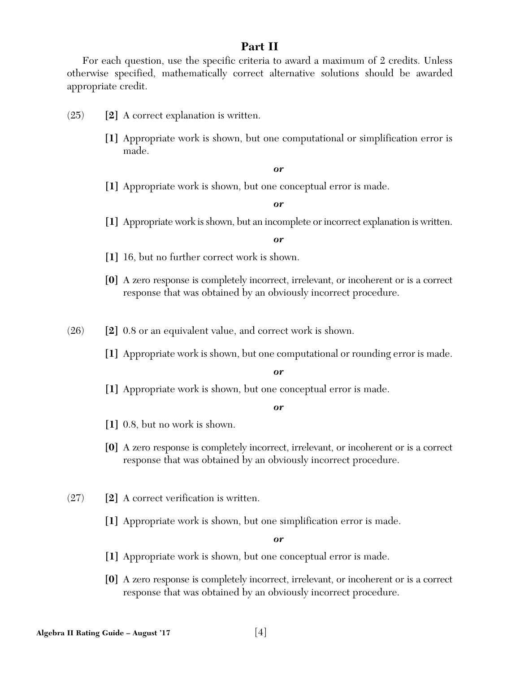## **Part II**

For each question, use the specific criteria to award a maximum of 2 credits. Unless otherwise specified, mathematically correct alternative solutions should be awarded appropriate credit.

- (25) **[2]** A correct explanation is written.
	- **[1]** Appropriate work is shown, but one computational or simplification error is made.

*or*

**[1]** Appropriate work is shown, but one conceptual error is made.

*or*

**[1]** Appropriate work is shown, but an incomplete or incorrect explanation is written.

*or*

- **[1]** 16, but no further correct work is shown.
- **[0]** A zero response is completely incorrect, irrelevant, or incoherent or is a correct response that was obtained by an obviously incorrect procedure.

(26) **[2]** 0.8 or an equivalent value, and correct work is shown.

**[1]** Appropriate work is shown, but one computational or rounding error is made.

*or*

**[1]** Appropriate work is shown, but one conceptual error is made.

#### *or*

- **[1]** 0.8, but no work is shown.
- **[0]** A zero response is completely incorrect, irrelevant, or incoherent or is a correct response that was obtained by an obviously incorrect procedure.
- (27) **[2]** A correct verification is written.
	- **[1]** Appropriate work is shown, but one simplification error is made.

- **[1]** Appropriate work is shown, but one conceptual error is made.
- **[0]** A zero response is completely incorrect, irrelevant, or incoherent or is a correct response that was obtained by an obviously incorrect procedure.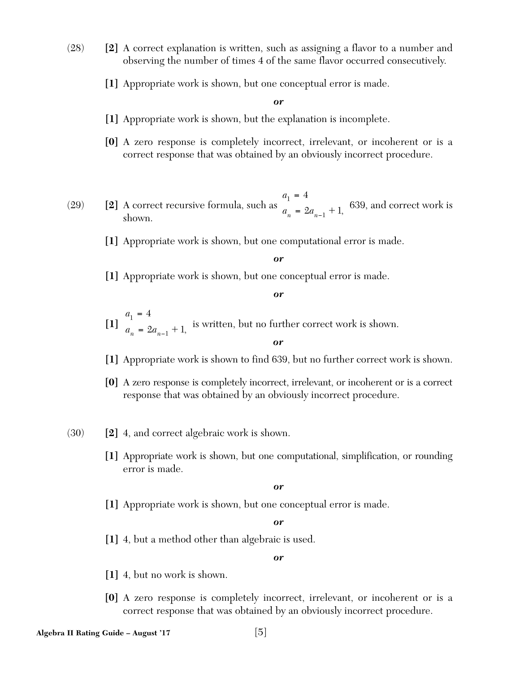- (28) **[2]** A correct explanation is written, such as assigning a flavor to a number and observing the number of times 4 of the same flavor occurred consecutively.
	- **[1]** Appropriate work is shown, but one conceptual error is made.

- **[1]** Appropriate work is shown, but the explanation is incomplete.
- **[0]** A zero response is completely incorrect, irrelevant, or incoherent or is a correct response that was obtained by an obviously incorrect procedure.
- (29) **[2]** A correct recursive formula, such as  $\frac{1}{a}$   $\frac{1}{a}$   $\frac{3a}{b}$   $\frac{1}{a}$  1 639, and correct work is shown. *a*  $a_n = 2a_n$ 1 1 4  $2a_{n-1}+1$ =  $= 2a_{n-1} + 1,$ 
	- **[1]** Appropriate work is shown, but one computational error is made.

*or*

**[1]** Appropriate work is shown, but one conceptual error is made.

*or*

- $\begin{bmatrix} 1 \end{bmatrix}$   $\begin{bmatrix} 0 \end{bmatrix}$   $\begin{bmatrix} 0 \end{bmatrix}$  is written, but no further correct work is shown. *a*  $a_n = 2a_n$ 1 1 4  $2a_{n-1}+1$ =  $= 2a_{n-1} + 1,$
- **[1]** Appropriate work is shown to find 639, but no further correct work is shown.

*or*

- **[0]** A zero response is completely incorrect, irrelevant, or incoherent or is a correct response that was obtained by an obviously incorrect procedure.
- (30) **[2]** 4, and correct algebraic work is shown.
	- **[1]** Appropriate work is shown, but one computational, simplification, or rounding error is made.

*or*

**[1]** Appropriate work is shown, but one conceptual error is made.

*or*

**[1]** 4, but a method other than algebraic is used.

- **[1]** 4, but no work is shown.
- **[0]** A zero response is completely incorrect, irrelevant, or incoherent or is a correct response that was obtained by an obviously incorrect procedure.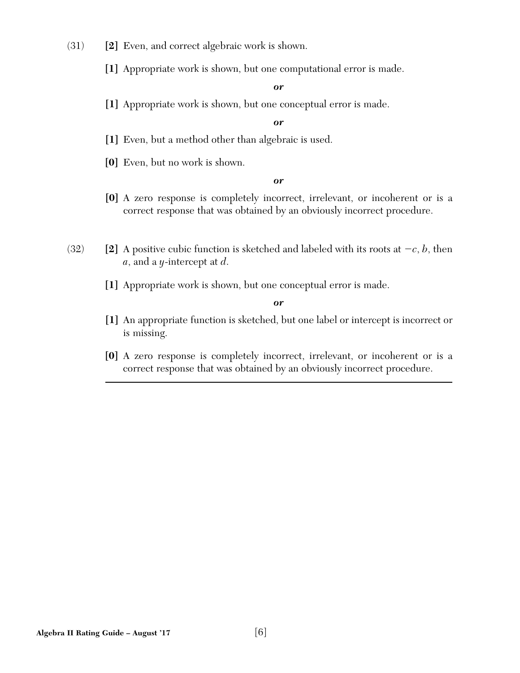- (31) **[2]** Even, and correct algebraic work is shown.
	- **[1]** Appropriate work is shown, but one computational error is made.

**[1]** Appropriate work is shown, but one conceptual error is made.

*or*

- **[1]** Even, but a method other than algebraic is used.
- **[0]** Even, but no work is shown.

*or*

- **[0]** A zero response is completely incorrect, irrelevant, or incoherent or is a correct response that was obtained by an obviously incorrect procedure.
- (32) **[2]** A positive cubic function is sketched and labeled with its roots at  $-c$ , *b*, then *a*, and a *y*-intercept at *d*.
	- **[1]** Appropriate work is shown, but one conceptual error is made.

- **[1]** An appropriate function is sketched, but one label or intercept is incorrect or is missing.
- **[0]** A zero response is completely incorrect, irrelevant, or incoherent or is a correct response that was obtained by an obviously incorrect procedure.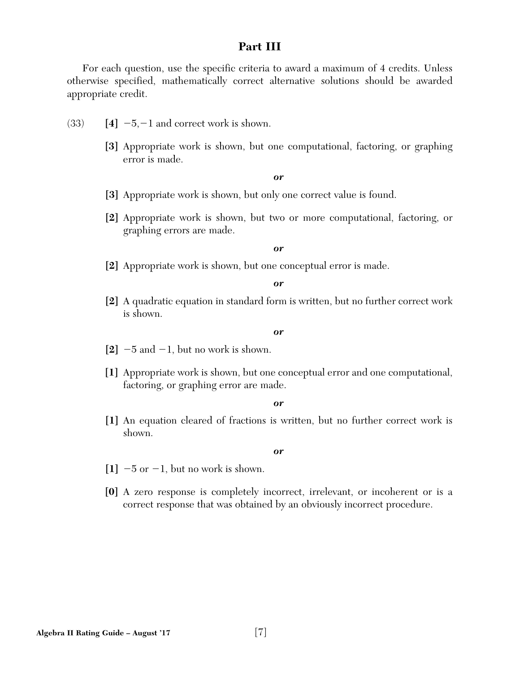#### **Part III**

For each question, use the specific criteria to award a maximum of 4 credits. Unless otherwise specified, mathematically correct alternative solutions should be awarded appropriate credit.

- $(33)$  [4]  $-5, -1$  and correct work is shown.
	- **[3]** Appropriate work is shown, but one computational, factoring, or graphing error is made.

#### *or*

- **[3]** Appropriate work is shown, but only one correct value is found.
- **[2]** Appropriate work is shown, but two or more computational, factoring, or graphing errors are made.

#### *or*

**[2]** Appropriate work is shown, but one conceptual error is made.

*or*

**[2]** A quadratic equation in standard form is written, but no further correct work is shown.

#### *or*

- $[2]$   $-5$  and  $-1$ , but no work is shown.
- **[1]** Appropriate work is shown, but one conceptual error and one computational, factoring, or graphing error are made.

#### *or*

**[1]** An equation cleared of fractions is written, but no further correct work is shown.

- $[1]$   $-5$  or  $-1$ , but no work is shown.
- **[0]** A zero response is completely incorrect, irrelevant, or incoherent or is a correct response that was obtained by an obviously incorrect procedure.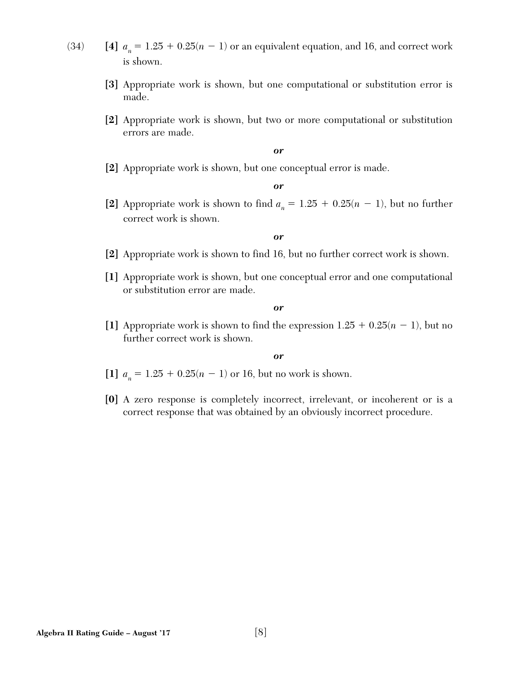- (34) **[4]**  $a_n = 1.25 + 0.25(n 1)$  or an equivalent equation, and 16, and correct work is shown.
	- **[3]** Appropriate work is shown, but one computational or substitution error is made.
	- **[2]** Appropriate work is shown, but two or more computational or substitution errors are made.

**[2]** Appropriate work is shown, but one conceptual error is made.

*or*

[2] Appropriate work is shown to find  $a_n = 1.25 + 0.25(n - 1)$ , but no further correct work is shown.

*or*

- **[2]** Appropriate work is shown to find 16, but no further correct work is shown.
- **[1]** Appropriate work is shown, but one conceptual error and one computational or substitution error are made.

*or*

[1] Appropriate work is shown to find the expression  $1.25 + 0.25(n - 1)$ , but no further correct work is shown.

- $[1]$   $a_n = 1.25 + 0.25(n 1)$  or 16, but no work is shown.
- **[0]** A zero response is completely incorrect, irrelevant, or incoherent or is a correct response that was obtained by an obviously incorrect procedure.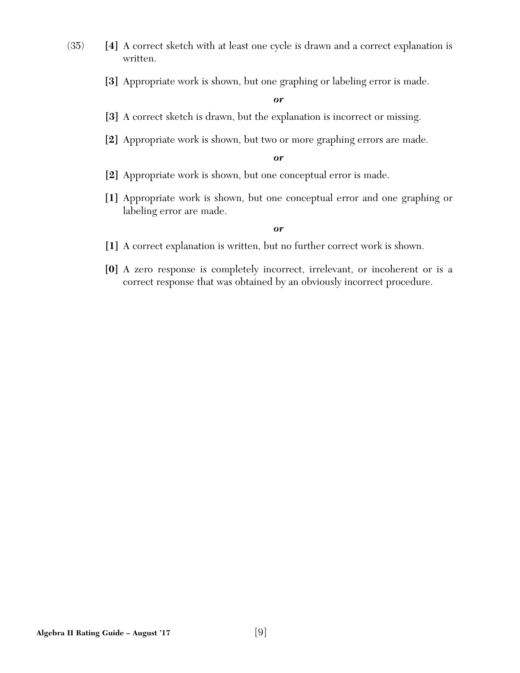- (35) **[4]** A correct sketch with at least one cycle is drawn and a correct explanation is written.
	- **[3]** Appropriate work is shown, but one graphing or labeling error is made.

- **[3]** A correct sketch is drawn, but the explanation is incorrect or missing.
- **[2]** Appropriate work is shown, but two or more graphing errors are made.

*or*

- **[2]** Appropriate work is shown, but one conceptual error is made.
- **[1]** Appropriate work is shown, but one conceptual error and one graphing or labeling error are made.

- **[1]** A correct explanation is written, but no further correct work is shown.
- **[0]** A zero response is completely incorrect, irrelevant, or incoherent or is a correct response that was obtained by an obviously incorrect procedure.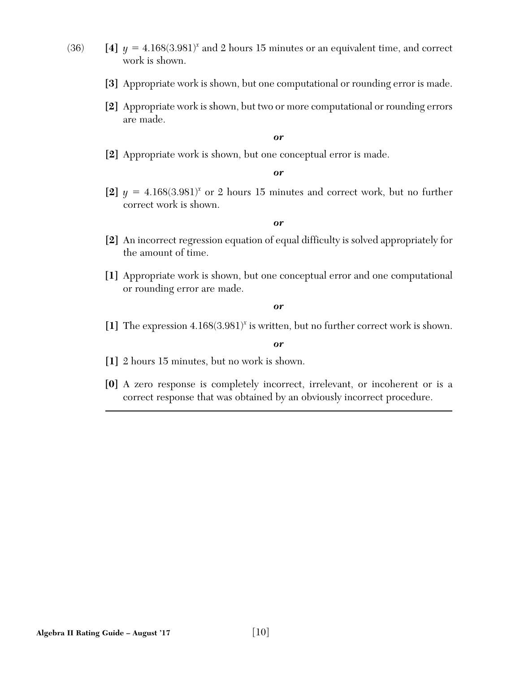- 
- (36) **[4]**  $y = 4.168(3.981)^x$  and 2 hours 15 minutes or an equivalent time, and correct work is shown.
	- **[3]** Appropriate work is shown, but one computational or rounding error is made.
	- **[2]** Appropriate work is shown, but two or more computational or rounding errors are made.

**[2]** Appropriate work is shown, but one conceptual error is made.

#### *or*

[2]  $y = 4.168(3.981)^x$  or 2 hours 15 minutes and correct work, but no further correct work is shown.

#### *or*

- **[2]** An incorrect regression equation of equal difficulty is solved appropriately for the amount of time.
- **[1]** Appropriate work is shown, but one conceptual error and one computational or rounding error are made.

#### *or*

**[1]** The expression 4.168(3.981)*<sup>x</sup>* is written, but no further correct work is shown.

- **[1]** 2 hours 15 minutes, but no work is shown.
- **[0]** A zero response is completely incorrect, irrelevant, or incoherent or is a correct response that was obtained by an obviously incorrect procedure.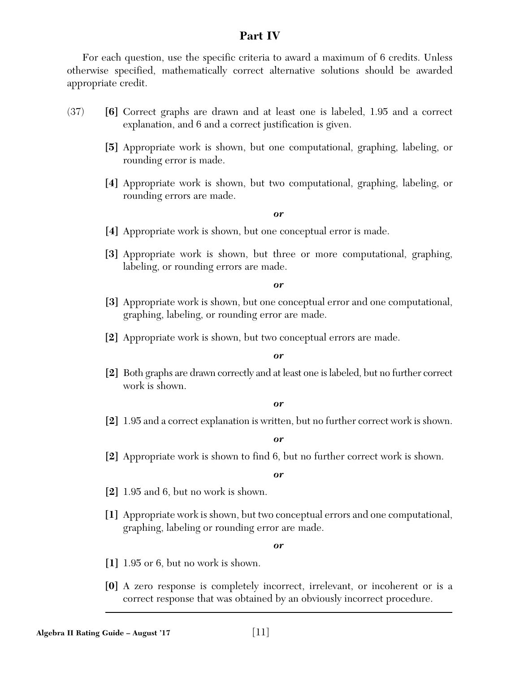## **Part IV**

For each question, use the specific criteria to award a maximum of 6 credits. Unless otherwise specified, mathematically correct alternative solutions should be awarded appropriate credit.

- (37) **[6]** Correct graphs are drawn and at least one is labeled, 1.95 and a correct explanation, and 6 and a correct justification is given.
	- **[5]** Appropriate work is shown, but one computational, graphing, labeling, or rounding error is made.
	- **[4]** Appropriate work is shown, but two computational, graphing, labeling, or rounding errors are made.

#### *or*

- **[4]** Appropriate work is shown, but one conceptual error is made.
- **[3]** Appropriate work is shown, but three or more computational, graphing, labeling, or rounding errors are made.

*or*

- **[3]** Appropriate work is shown, but one conceptual error and one computational, graphing, labeling, or rounding error are made.
- **[2]** Appropriate work is shown, but two conceptual errors are made.

#### *or*

**[2]** Both graphs are drawn correctly and at least one is labeled, but no further correct work is shown.

#### *or*

**[2]** 1.95 and a correct explanation is written, but no further correct work is shown.

#### *or*

**[2]** Appropriate work is shown to find 6, but no further correct work is shown.

#### *or*

- **[2]** 1.95 and 6, but no work is shown.
- **[1]** Appropriate work is shown, but two conceptual errors and one computational, graphing, labeling or rounding error are made.

- **[1]** 1.95 or 6, but no work is shown.
- **[0]** A zero response is completely incorrect, irrelevant, or incoherent or is a correct response that was obtained by an obviously incorrect procedure.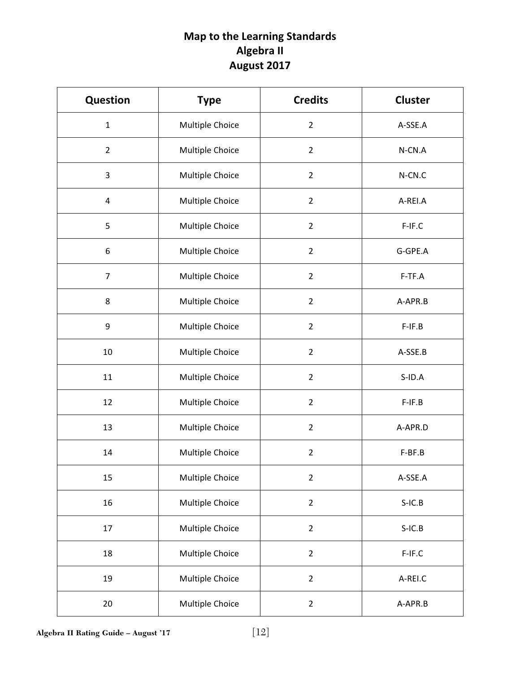# **Map to the Learning Standards Algebra II August 2017**

| <b>Question</b> | <b>Type</b>     | <b>Credits</b> | <b>Cluster</b> |
|-----------------|-----------------|----------------|----------------|
| $\mathbf{1}$    | Multiple Choice | $\overline{2}$ | A-SSE.A        |
| $\overline{2}$  | Multiple Choice | $\overline{2}$ | N-CN.A         |
| 3               | Multiple Choice | $\overline{2}$ | N-CN.C         |
| 4               | Multiple Choice | $\overline{2}$ | A-REI.A        |
| 5               | Multiple Choice | $\overline{2}$ | F-IF.C         |
| 6               | Multiple Choice | $\overline{2}$ | G-GPE.A        |
| $\overline{7}$  | Multiple Choice | $\overline{2}$ | F-TF.A         |
| 8               | Multiple Choice | $\overline{2}$ | A-APR.B        |
| 9               | Multiple Choice | $\overline{2}$ | $F-IF.B$       |
| $10\,$          | Multiple Choice | $\overline{2}$ | A-SSE.B        |
| 11              | Multiple Choice | $\overline{2}$ | $S$ -ID.A      |
| 12              | Multiple Choice | $\overline{2}$ | $F-IF.B$       |
| 13              | Multiple Choice | $\overline{2}$ | A-APR.D        |
| 14              | Multiple Choice | $\overline{2}$ | F-BF.B         |
| 15              | Multiple Choice | $\overline{2}$ | A-SSE.A        |
| 16              | Multiple Choice | $\overline{2}$ | $S-IC.B$       |
| 17              | Multiple Choice | $\overline{2}$ | $S-IC.B$       |
| 18              | Multiple Choice | $\overline{2}$ | $F-IF.C$       |
| 19              | Multiple Choice | $\overline{2}$ | A-REI.C        |
| 20              | Multiple Choice | $\overline{2}$ | A-APR.B        |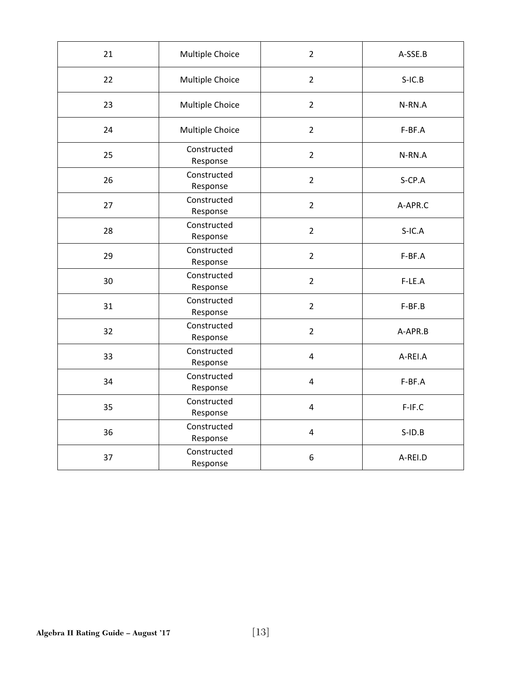| 21 | Multiple Choice         | $\overline{2}$ | A-SSE.B      |
|----|-------------------------|----------------|--------------|
| 22 | Multiple Choice         | $\overline{2}$ | $S-IC.B$     |
| 23 | Multiple Choice         | $\overline{2}$ | N-RN.A       |
| 24 | Multiple Choice         | $\overline{2}$ | F-BF.A       |
| 25 | Constructed<br>Response | $\overline{2}$ | N-RN.A       |
| 26 | Constructed<br>Response | $\overline{2}$ | S-CP.A       |
| 27 | Constructed<br>Response | $\overline{2}$ | A-APR.C      |
| 28 | Constructed<br>Response | $\overline{2}$ | $S-IC.A$     |
| 29 | Constructed<br>Response | $\overline{2}$ | F-BF.A       |
| 30 | Constructed<br>Response | $\overline{2}$ | F-LE.A       |
| 31 | Constructed<br>Response | $\overline{2}$ | F-BF.B       |
| 32 | Constructed<br>Response | $\overline{2}$ | A-APR.B      |
| 33 | Constructed<br>Response | 4              | A-REI.A      |
| 34 | Constructed<br>Response | 4              | F-BF.A       |
| 35 | Constructed<br>Response | 4              | F-IF.C       |
| 36 | Constructed<br>Response | 4              | $S$ -ID. $B$ |
| 37 | Constructed<br>Response | 6              | A-REI.D      |